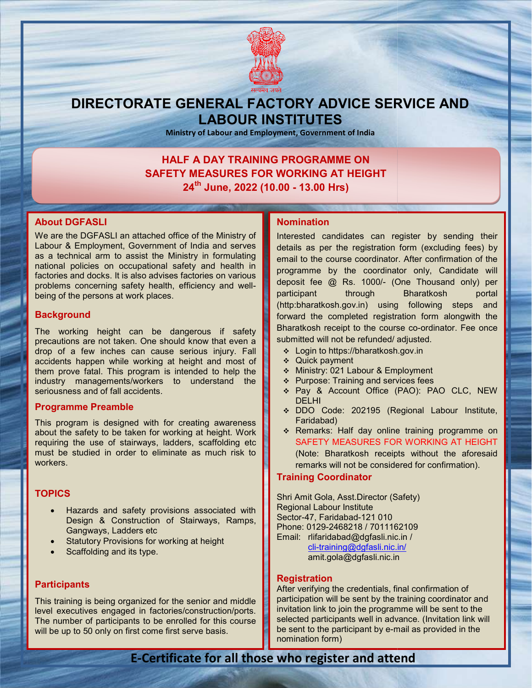

## DIRECTORATE GENERAL FACTORY ADVICE SERVICE AND LABOUR INSTITUTES

Ministry of Labour and Employment, Government of India

### HALF A DAY TRAINING PROGRAMME ON SAFETY MEASURES FOR WORKING AT HEIGHT 24th June, 2022 (10.00 - 13.00 Hrs) DAY TRAINING PROGRAMME ON<br>EASURES FOR WORKING AT HEIG<br>June, 2022 (10.00 - 13.00 Hrs)

## About DGFASLI

We are the DGFASLI an attached office of the Ministry of Labour & Employment, Government of India and serves as a technical arm to assist the Ministry in formulating national policies on occupational safety and health in factories and docks. It is also advises factories on various problems concerning safety health, efficiency and wellbeing of the persons at work places. are the DGFASLI an attached office of the Ministry of<br>our & Employment, Government of India and serves<br>a technical arm to assist the Ministry in formulating<br>onal policies on occupational safety and health in<br>ories and dock

## **Background**

The working height can be dangerous if safety precautions are not taken. One should know that even a drop of a few inches can cause serious injury. Fall accidents happen while working at height and most of them prove fatal. This program is intended to help the industry managements/workers to understand the seriousness and of fall accidents. working height can be dangerous if safety<br>utions-are-not-taken. One-should-know-that-even-a<br>of a few inches can cause serious injury. Fall FACTIANCHER INTERNATION (SOMET ARE THE SURFACT AND INTERNATION TO CONSULTER THE MIGHING INTERNATION INTERNATION CONSULTED THE CONSULTED THE CONSULTED THE CONSULTED SURFACT DETERNATION (THE CONSULTED THE CONSULTED THE CONS

## Programme Preamble

This program is designed with for creating awareness This program is designed with for creating awareness<br>about the safety to be taken for working at height. Work requiring the use of stairways, ladders, scaffolding etc must be studied in order to eliminate as much risk to workers. t be studied in order to eliminate as much risk to<br>Kers.<br>**PICS** • Hazards and safety provisions associated with

## **TOPICS**

- Design & Construction of Stairways, Ramps, Gangways, Ladders etc
- Statutory Provisions for working at height
- Scaffolding and its type.

## **Participants**

This training is being organized for the senior and middle This training is being organized for the senior and middle<br>level executives engaged in factories/construction/ports. The number of participants to be enrolled for this course will be up to 50 only on first come first serve basis.

Interested candidates can register by sending their details as per the registration form (excluding fees) by email to the course coordinator. After confirmation of the programme by the coordinator only, Candidate will deposit fee @ Rs. 1000/- (One Thousand only) per participant through Bharatkosh portal (http:bharatkosh.gov.in) using following steps and forward the completed registration form alongwith the Bharatkosh receipt to the course co-ordinator. Fee once submitted will not be refunded/ adjusted. ache differe of the Ministry of the Ministry of the Ministry in formulation the particular the Ministry in formulation of the confirmation of the confirmation of the confirmation of the confirmation of the confirmation of participant through Bharatkosh portal<br>(http:bharatkosh.gov.in) using following steps and<br>forward the completed registration form alongwith the<br>Bharatkosh receipt to the course co-ordinator. Fee once

- Login to https://bharatkosh.gov.in
- Quick payment
- ◆ Ministry: 021 Labour & Employment
- $\div$  Purpose: Training and services fees
- Pay & Account Office (PAO): PAO CLC, NEW DELHI submitted will not be refunded/adjusted.<br>  $\div$  Login to https://bharatkosh.gov.in<br>  $\div$  Quick payment<br>  $\div$  Ministry: 021 Labour & Employment<br>  $\div$  Purpose: Training and services fees<br>  $\div$  Pay & Account Office (PAO): PAO
	- DDO Code: 202195 (Regional Labour Institute, Faridabad)
	- \* Remarks: Half day online training programme on SAFETY MEASURES FOR MEASURES WORKING AT HEIGHT (Note: Bharatkosh receipts without the aforesaid remarks will not be considered for confirmation).

## Training Coordinator

remarks will not be considered fc<br>**Training Coordinator**<br>Shri Amit Gola, Asst.Director (Safety) Regional Labour Institute Sector-47, Faridabad-121 010 Phone: 0129-2468218 / 7011162109 Phone: 0129-2468218 / 7011162109<br>Email: rlifaridabad@dgfasli.nic.in / cli-training@dgfasli.nic.in/ amit.gola@dgfasli.nic.in

## **Registration**

After verifying the credentials, final confirmation of participation will be sent by the training coordinator and invitation link to join the programme will be sent to the selected participants well in advance. (Invitation link will be sent to the participant by e-mail as provided in the nomination form) training@dgfasli.nic.in/<br>amit.gola@dgfasli.nic.in<br>After verifying the credentials, final confirmation of<br>participation will be sent by the training coordinator and<br>invitation link to join the programme will be sent to the<br>

## E-Certificate for all those who register and attend